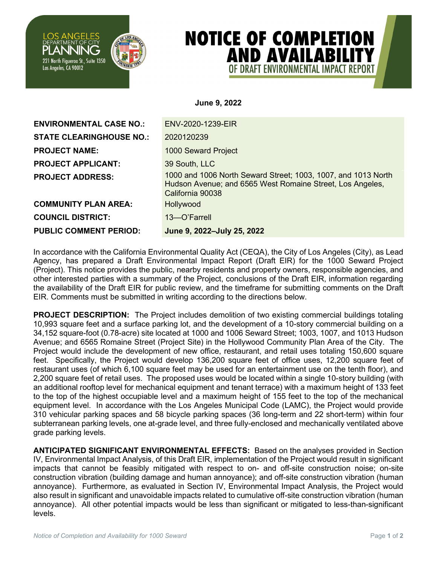

## **NOTICE OF COMPLETION AND AVAILABILITY** OF DRAFT FNVIRONMENTAL IMPACT REPORT

**June 9, 2022**

| <b>ENVIRONMENTAL CASE NO.:</b>  | ENV-2020-1239-EIR                                                                                                                              |
|---------------------------------|------------------------------------------------------------------------------------------------------------------------------------------------|
| <b>STATE CLEARINGHOUSE NO.:</b> | 2020120239                                                                                                                                     |
| <b>PROJECT NAME:</b>            | 1000 Seward Project                                                                                                                            |
| <b>PROJECT APPLICANT:</b>       | 39 South, LLC                                                                                                                                  |
| <b>PROJECT ADDRESS:</b>         | 1000 and 1006 North Seward Street; 1003, 1007, and 1013 North<br>Hudson Avenue; and 6565 West Romaine Street, Los Angeles,<br>California 90038 |
| <b>COMMUNITY PLAN AREA:</b>     | Hollywood                                                                                                                                      |
| <b>COUNCIL DISTRICT:</b>        | 13-O'Farrell                                                                                                                                   |
| <b>PUBLIC COMMENT PERIOD:</b>   | June 9, 2022-July 25, 2022                                                                                                                     |

In accordance with the California Environmental Quality Act (CEQA), the City of Los Angeles (City), as Lead Agency, has prepared a Draft Environmental Impact Report (Draft EIR) for the 1000 Seward Project (Project). This notice provides the public, nearby residents and property owners, responsible agencies, and other interested parties with a summary of the Project, conclusions of the Draft EIR, information regarding the availability of the Draft EIR for public review, and the timeframe for submitting comments on the Draft EIR. Comments must be submitted in writing according to the directions below.

**PROJECT DESCRIPTION:** The Project includes demolition of two existing commercial buildings totaling 10,993 square feet and a surface parking lot, and the development of a 10-story commercial building on a 34,152 square-foot (0.78-acre) site located at 1000 and 1006 Seward Street; 1003, 1007, and 1013 Hudson Avenue; and 6565 Romaine Street (Project Site) in the Hollywood Community Plan Area of the City. The Project would include the development of new office, restaurant, and retail uses totaling 150,600 square feet. Specifically, the Project would develop 136,200 square feet of office uses, 12,200 square feet of restaurant uses (of which 6,100 square feet may be used for an entertainment use on the tenth floor), and 2,200 square feet of retail uses. The proposed uses would be located within a single 10-story building (with an additional rooftop level for mechanical equipment and tenant terrace) with a maximum height of 133 feet to the top of the highest occupiable level and a maximum height of 155 feet to the top of the mechanical equipment level. In accordance with the Los Angeles Municipal Code (LAMC), the Project would provide 310 vehicular parking spaces and 58 bicycle parking spaces (36 long-term and 22 short-term) within four subterranean parking levels, one at-grade level, and three fully-enclosed and mechanically ventilated above grade parking levels.

**ANTICIPATED SIGNIFICANT ENVIRONMENTAL EFFECTS:** Based on the analyses provided in Section IV, Environmental Impact Analysis, of this Draft EIR, implementation of the Project would result in significant impacts that cannot be feasibly mitigated with respect to on- and off-site construction noise; on-site construction vibration (building damage and human annoyance); and off-site construction vibration (human annoyance). Furthermore, as evaluated in Section IV, Environmental Impact Analysis, the Project would also result in significant and unavoidable impacts related to cumulative off-site construction vibration (human annoyance). All other potential impacts would be less than significant or mitigated to less-than-significant levels.